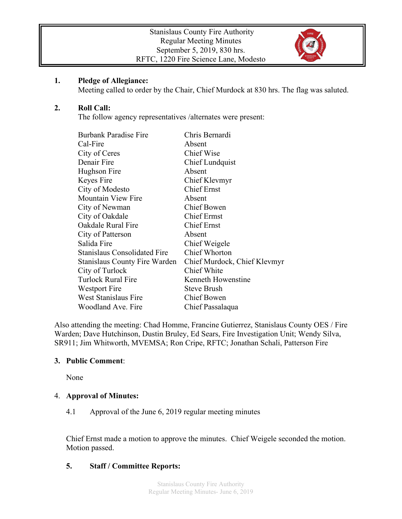

#### **1. Pledge of Allegiance:**

Meeting called to order by the Chair, Chief Murdock at 830 hrs. The flag was saluted.

### **2. Roll Call:**

The follow agency representatives /alternates were present:

| <b>Burbank Paradise Fire</b>         | Chris Bernardi               |
|--------------------------------------|------------------------------|
| Cal-Fire                             | Absent                       |
| City of Ceres                        | <b>Chief Wise</b>            |
| Denair Fire                          | <b>Chief Lundquist</b>       |
| Hughson Fire                         | Absent                       |
| Keyes Fire                           | Chief Klevmyr                |
| City of Modesto                      | <b>Chief Ernst</b>           |
| <b>Mountain View Fire</b>            | Absent                       |
| City of Newman                       | Chief Bowen                  |
| City of Oakdale                      | <b>Chief Ermst</b>           |
| Oakdale Rural Fire                   | <b>Chief Ernst</b>           |
| City of Patterson                    | Absent                       |
| Salida Fire                          | Chief Weigele                |
| <b>Stanislaus Consolidated Fire</b>  | <b>Chief Whorton</b>         |
| <b>Stanislaus County Fire Warden</b> | Chief Murdock, Chief Klevmyr |
| City of Turlock                      | Chief White                  |
| Turlock Rural Fire                   | Kenneth Howenstine           |
| Westport Fire                        | <b>Steve Brush</b>           |
| West Stanislaus Fire                 | <b>Chief Bowen</b>           |
| Woodland Ave. Fire                   | Chief Passalaqua             |
|                                      |                              |

Also attending the meeting: Chad Homme, Francine Gutierrez, Stanislaus County OES / Fire Warden; Dave Hutchinson, Dustin Bruley, Ed Sears, Fire Investigation Unit; Wendy Silva, SR911; Jim Whitworth, MVEMSA; Ron Cripe, RFTC; Jonathan Schali, Patterson Fire

### **3. Public Comment**:

None

### 4. **Approval of Minutes:**

4.1 Approval of the June 6, 2019 regular meeting minutes

Chief Ernst made a motion to approve the minutes. Chief Weigele seconded the motion. Motion passed.

### **5. Staff / Committee Reports:**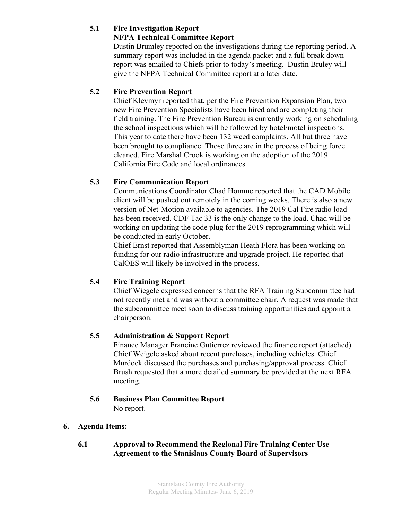# **5.1 Fire Investigation Report**

### **NFPA Technical Committee Report**

Dustin Brumley reported on the investigations during the reporting period. A summary report was included in the agenda packet and a full break down report was emailed to Chiefs prior to today's meeting. Dustin Bruley will give the NFPA Technical Committee report at a later date.

## **5.2 Fire Prevention Report**

Chief Klevmyr reported that, per the Fire Prevention Expansion Plan, two new Fire Prevention Specialists have been hired and are completing their field training. The Fire Prevention Bureau is currently working on scheduling the school inspections which will be followed by hotel/motel inspections. This year to date there have been 132 weed complaints. All but three have been brought to compliance. Those three are in the process of being force cleaned. Fire Marshal Crook is working on the adoption of the 2019 California Fire Code and local ordinances

# **5.3 Fire Communication Report**

Communications Coordinator Chad Homme reported that the CAD Mobile client will be pushed out remotely in the coming weeks. There is also a new version of Net-Motion available to agencies. The 2019 Cal Fire radio load has been received. CDF Tac 33 is the only change to the load. Chad will be working on updating the code plug for the 2019 reprogramming which will be conducted in early October.

Chief Ernst reported that Assemblyman Heath Flora has been working on funding for our radio infrastructure and upgrade project. He reported that CalOES will likely be involved in the process.

# **5.4 Fire Training Report**

Chief Wiegele expressed concerns that the RFA Training Subcommittee had not recently met and was without a committee chair. A request was made that the subcommittee meet soon to discuss training opportunities and appoint a chairperson.

# **5.5 Administration & Support Report**

Finance Manager Francine Gutierrez reviewed the finance report (attached). Chief Weigele asked about recent purchases, including vehicles. Chief Murdock discussed the purchases and purchasing/approval process. Chief Brush requested that a more detailed summary be provided at the next RFA meeting.

### **5.6 Business Plan Committee Report** No report.

### **6. Agenda Items:**

### **6.1 Approval to Recommend the Regional Fire Training Center Use Agreement to the Stanislaus County Board of Supervisors**